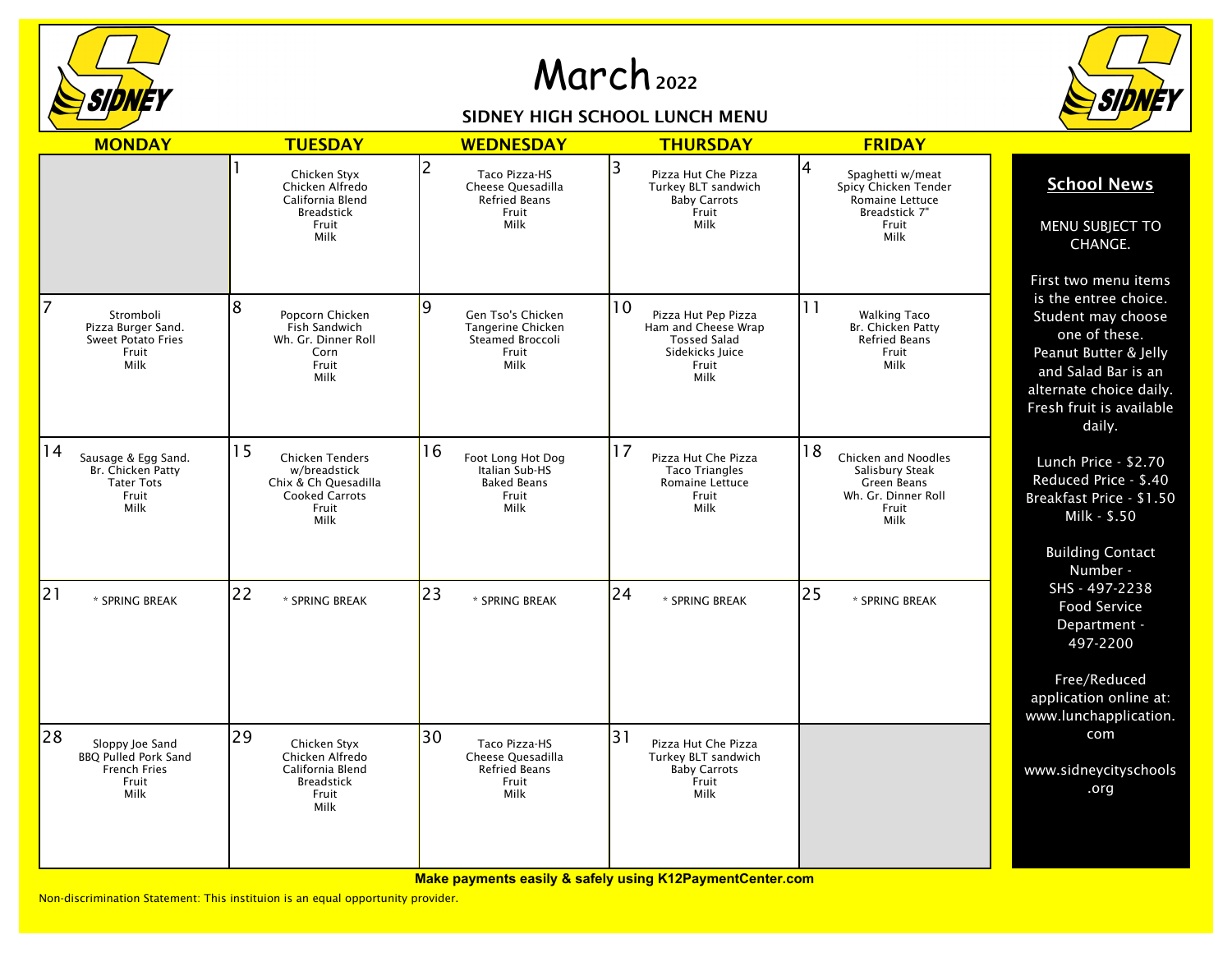

## March <sup>2022</sup>

## SIDNEY HIGH SCHOOL LUNCH MENU



| <b>MONDAY</b>                                                                                | <b>TUESDAY</b>                                                                                                 | <b>WEDNESDAY</b>                                                                              | <b>THURSDAY</b>                                                                                             | <b>FRIDAY</b>                                                                                       |                                                                                                                                                                                                       |
|----------------------------------------------------------------------------------------------|----------------------------------------------------------------------------------------------------------------|-----------------------------------------------------------------------------------------------|-------------------------------------------------------------------------------------------------------------|-----------------------------------------------------------------------------------------------------|-------------------------------------------------------------------------------------------------------------------------------------------------------------------------------------------------------|
|                                                                                              | Chicken Styx<br>Chicken Alfredo<br>California Blend<br><b>Breadstick</b><br>Fruit<br>Milk                      | $\overline{2}$<br>Taco Pizza-HS<br>Cheese Ouesadilla<br><b>Refried Beans</b><br>Fruit<br>Milk | 3<br>Pizza Hut Che Pizza<br>Turkey BLT sandwich<br><b>Baby Carrots</b><br>Fruit<br>Milk                     | 4<br>Spaghetti w/meat<br>Spicy Chicken Tender<br>Romaine Lettuce<br>Breadstick 7"<br>Fruit<br>Milk  | <b>School News</b><br>MENU SUBJECT TO<br>CHANGE.                                                                                                                                                      |
| 7<br>Stromboli<br>Pizza Burger Sand.<br><b>Sweet Potato Fries</b><br>Fruit<br>Milk           | 8<br>Popcorn Chicken<br>Fish Sandwich<br>Wh. Gr. Dinner Roll<br>Corn<br>Fruit<br>Milk                          | 9<br>Gen Tso's Chicken<br>Tangerine Chicken<br><b>Steamed Broccoli</b><br>Fruit<br>Milk       | 10<br>Pizza Hut Pep Pizza<br>Ham and Cheese Wrap<br><b>Tossed Salad</b><br>Sidekicks Juice<br>Fruit<br>Milk | 11<br><b>Walking Taco</b><br>Br. Chicken Patty<br><b>Refried Beans</b><br>Fruit<br>Milk             | First two menu items<br>is the entree choice.<br>Student may choose<br>one of these.<br>Peanut Butter & Jelly<br>and Salad Bar is an<br>alternate choice daily.<br>Fresh fruit is available<br>daily. |
| 14<br>Sausage & Egg Sand.<br>Br. Chicken Patty<br><b>Tater Tots</b><br>Fruit<br>Milk         | 15<br><b>Chicken Tenders</b><br>w/breadstick<br>Chix & Ch Quesadilla<br><b>Cooked Carrots</b><br>Fruit<br>Milk | 16<br>Foot Long Hot Dog<br>Italian Sub-HS<br><b>Baked Beans</b><br>Fruit<br>Milk              | 17<br>Pizza Hut Che Pizza<br><b>Taco Triangles</b><br><b>Romaine Lettuce</b><br>Fruit<br>Milk               | 18<br>Chicken and Noodles<br>Salisbury Steak<br>Green Beans<br>Wh. Gr. Dinner Roll<br>Fruit<br>Milk | Lunch Price - \$2.70<br>Reduced Price - \$.40<br>Breakfast Price - \$1.50<br>Milk - \$.50<br><b>Building Contact</b>                                                                                  |
| 21<br>* SPRING BREAK                                                                         | 22<br>* SPRING BREAK                                                                                           | 23<br>* SPRING BREAK                                                                          | 24<br>* SPRING BREAK                                                                                        | 25<br>* SPRING BREAK                                                                                | Number -<br>SHS - 497-2238<br><b>Food Service</b><br>Department -<br>497-2200<br>Free/Reduced<br>application online at:<br>www.lunchapplication.                                                      |
| 28<br>Sloppy Joe Sand<br><b>BBQ Pulled Pork Sand</b><br><b>French Fries</b><br>Fruit<br>Milk | 29<br>Chicken Styx<br>Chicken Alfredo<br>California Blend<br><b>Breadstick</b><br>Fruit<br>Milk                | 30<br>Taco Pizza-HS<br>Cheese Quesadilla<br><b>Refried Beans</b><br>Fruit<br>Milk             | 31<br>Pizza Hut Che Pizza<br>Turkey BLT sandwich<br><b>Baby Carrots</b><br>Fruit<br><b>Milk</b>             |                                                                                                     | com<br>www.sidneycityschools<br>.org                                                                                                                                                                  |

**Make payments easily & safely using K12PaymentCenter.com**

Non-discrimination Statement: This instituion is an equal opportunity provider.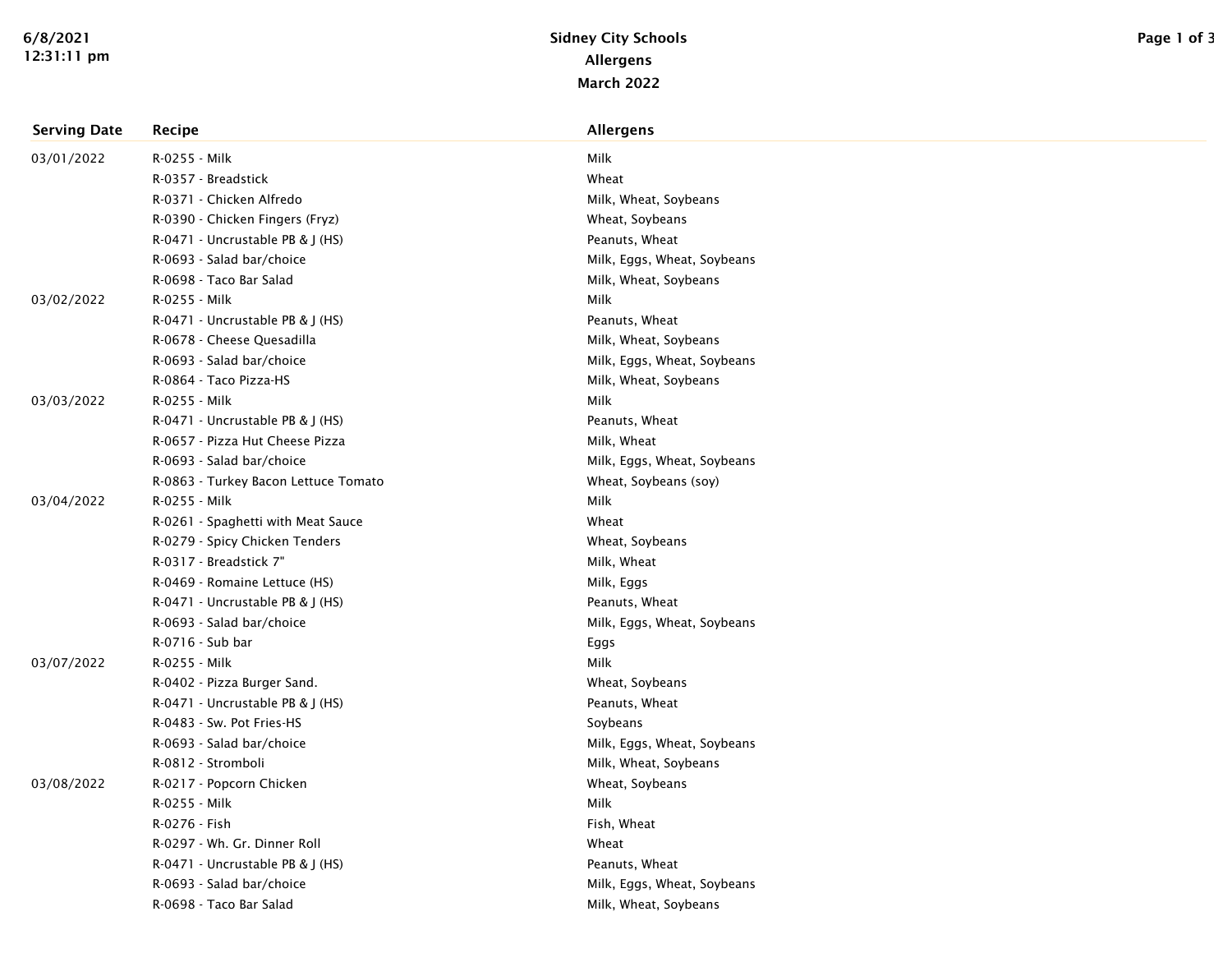| <b>Serving Date</b> | Recipe                               | Allergens                   |
|---------------------|--------------------------------------|-----------------------------|
| 03/01/2022          | R-0255 - Milk                        | Milk                        |
|                     | R-0357 - Breadstick                  | Wheat                       |
|                     | R-0371 - Chicken Alfredo             | Milk, Wheat, Soybeans       |
|                     | R-0390 - Chicken Fingers (Fryz)      | Wheat, Soybeans             |
|                     | R-0471 - Uncrustable PB & J (HS)     | Peanuts, Wheat              |
|                     | R-0693 - Salad bar/choice            | Milk, Eggs, Wheat, Soybeans |
|                     | R-0698 - Taco Bar Salad              | Milk, Wheat, Soybeans       |
| 03/02/2022          | R-0255 - Milk                        | Milk                        |
|                     | R-0471 - Uncrustable PB & J (HS)     | Peanuts, Wheat              |
|                     | R-0678 - Cheese Quesadilla           | Milk, Wheat, Soybeans       |
|                     | R-0693 - Salad bar/choice            | Milk, Eggs, Wheat, Soybeans |
|                     | R-0864 - Taco Pizza-HS               | Milk, Wheat, Soybeans       |
| 03/03/2022          | R-0255 - Milk                        | Milk                        |
|                     | R-0471 - Uncrustable PB & J (HS)     | Peanuts, Wheat              |
|                     | R-0657 - Pizza Hut Cheese Pizza      | Milk, Wheat                 |
|                     | R-0693 - Salad bar/choice            | Milk, Eggs, Wheat, Soybeans |
|                     | R-0863 - Turkey Bacon Lettuce Tomato | Wheat, Soybeans (soy)       |
| 03/04/2022          | R-0255 - Milk                        | Milk                        |
|                     | R-0261 - Spaghetti with Meat Sauce   | Wheat                       |
|                     | R-0279 - Spicy Chicken Tenders       | Wheat, Soybeans             |
|                     | R-0317 - Breadstick 7"               | Milk, Wheat                 |
|                     | R-0469 - Romaine Lettuce (HS)        | Milk, Eggs                  |
|                     | R-0471 - Uncrustable PB & J (HS)     | Peanuts, Wheat              |
|                     | R-0693 - Salad bar/choice            | Milk, Eggs, Wheat, Soybeans |
|                     | R-0716 - Sub bar                     | Eggs                        |
| 03/07/2022          | R-0255 - Milk                        | Milk                        |
|                     | R-0402 - Pizza Burger Sand.          | Wheat, Soybeans             |
|                     | R-0471 - Uncrustable PB & J (HS)     | Peanuts, Wheat              |
|                     | R-0483 - Sw. Pot Fries-HS            | Soybeans                    |
|                     | R-0693 - Salad bar/choice            | Milk, Eggs, Wheat, Soybeans |
|                     | R-0812 - Stromboli                   | Milk, Wheat, Soybeans       |
| 03/08/2022          | R-0217 - Popcorn Chicken             | Wheat, Soybeans             |
|                     | R-0255 - Milk                        | Milk                        |
|                     | R-0276 - Fish                        | Fish, Wheat                 |
|                     | R-0297 - Wh. Gr. Dinner Roll         | Wheat                       |
|                     | R-0471 - Uncrustable PB & J (HS)     | Peanuts, Wheat              |
|                     | R-0693 - Salad bar/choice            | Milk, Eggs, Wheat, Soybeans |
|                     | R-0698 - Taco Bar Salad              | Milk, Wheat, Soybeans       |
|                     |                                      |                             |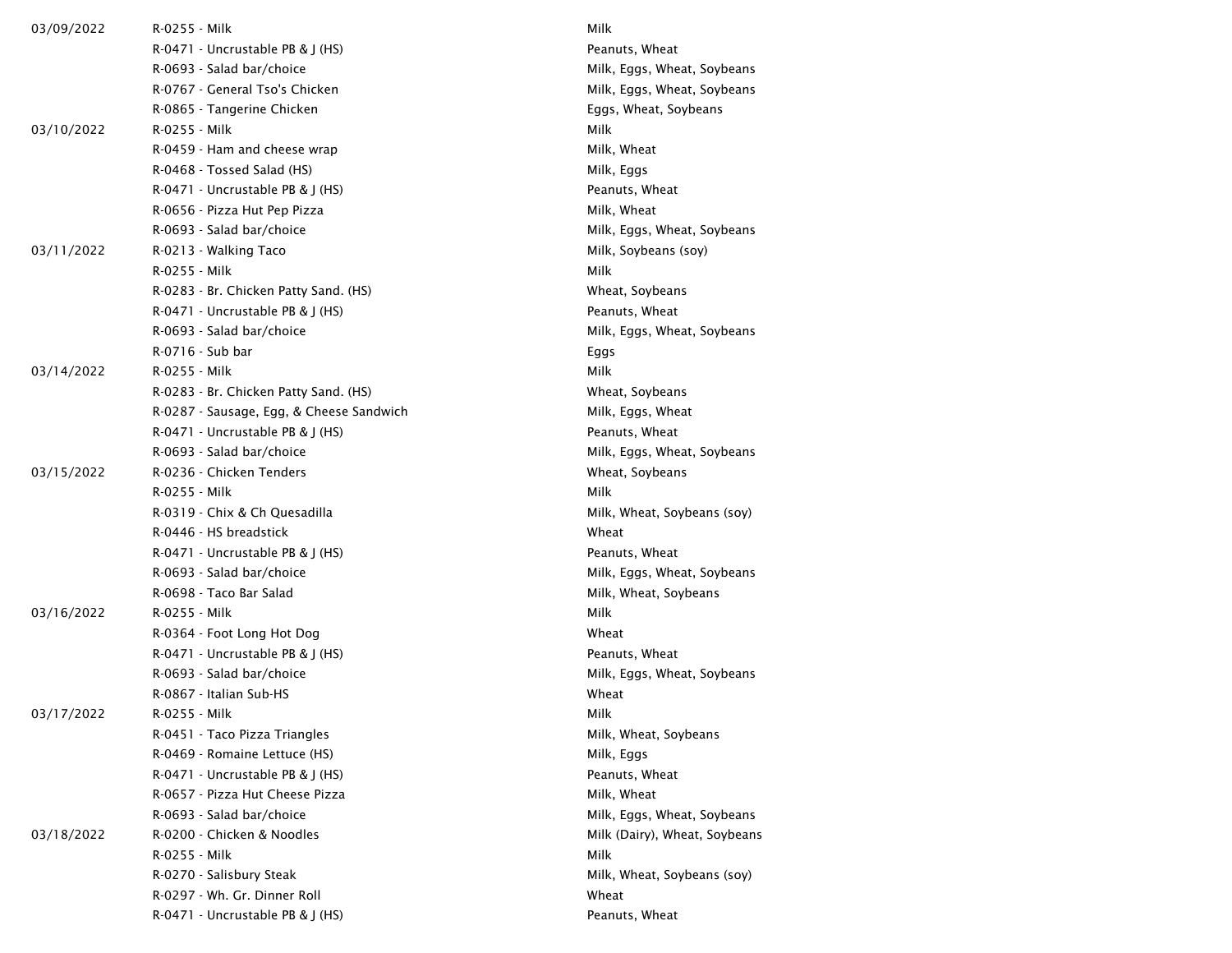| 03/09/2022 | R-0255 - Milk                            | Milk                          |  |
|------------|------------------------------------------|-------------------------------|--|
|            | $R-0471$ - Uncrustable PB & J (HS)       | Peanuts, Wheat                |  |
|            | R-0693 - Salad bar/choice                | Milk, Eggs, Wheat, Soybeans   |  |
|            | R-0767 - General Tso's Chicken           | Milk, Eggs, Wheat, Soybeans   |  |
|            | R-0865 - Tangerine Chicken               | Eggs, Wheat, Soybeans         |  |
| 03/10/2022 | R-0255 - Milk                            | Milk                          |  |
|            | R-0459 - Ham and cheese wrap             | Milk, Wheat                   |  |
|            | R-0468 - Tossed Salad (HS)               | Milk, Eggs                    |  |
|            | R-0471 - Uncrustable PB & J (HS)         | Peanuts, Wheat                |  |
|            | R-0656 - Pizza Hut Pep Pizza             | Milk, Wheat                   |  |
|            | R-0693 - Salad bar/choice                | Milk, Eggs, Wheat, Soybeans   |  |
| 03/11/2022 | R-0213 - Walking Taco                    | Milk, Soybeans (soy)          |  |
|            | R-0255 - Milk                            | Milk                          |  |
|            | R-0283 - Br. Chicken Patty Sand. (HS)    | Wheat, Soybeans               |  |
|            | R-0471 - Uncrustable PB & J (HS)         | Peanuts, Wheat                |  |
|            | R-0693 - Salad bar/choice                | Milk, Eggs, Wheat, Soybeans   |  |
|            | R-0716 - Sub bar                         | Eggs                          |  |
| 03/14/2022 | R-0255 - Milk                            | Milk                          |  |
|            | R-0283 - Br. Chicken Patty Sand. (HS)    | Wheat, Soybeans               |  |
|            | R-0287 - Sausage, Egg, & Cheese Sandwich | Milk, Eggs, Wheat             |  |
|            | R-0471 - Uncrustable PB & J (HS)         | Peanuts, Wheat                |  |
|            | R-0693 - Salad bar/choice                | Milk, Eggs, Wheat, Soybeans   |  |
| 03/15/2022 | R-0236 - Chicken Tenders                 | Wheat, Soybeans               |  |
|            | R-0255 - Milk                            | Milk                          |  |
|            | R-0319 - Chix & Ch Quesadilla            | Milk, Wheat, Soybeans (soy)   |  |
|            | R-0446 - HS breadstick                   | Wheat                         |  |
|            | R-0471 - Uncrustable PB & J (HS)         | Peanuts, Wheat                |  |
|            | R-0693 - Salad bar/choice                | Milk, Eggs, Wheat, Soybeans   |  |
|            | R-0698 - Taco Bar Salad                  | Milk, Wheat, Soybeans         |  |
| 03/16/2022 | R-0255 - Milk                            | Milk                          |  |
|            | R-0364 - Foot Long Hot Dog               | Wheat                         |  |
|            | R-0471 - Uncrustable PB & J (HS)         | Peanuts, Wheat                |  |
|            | R-0693 - Salad bar/choice                | Milk, Eggs, Wheat, Soybeans   |  |
|            | R-0867 - Italian Sub-HS                  | Wheat                         |  |
| 03/17/2022 | R-0255 - Milk                            | Milk                          |  |
|            | R-0451 - Taco Pizza Triangles            | Milk, Wheat, Soybeans         |  |
|            | R-0469 - Romaine Lettuce (HS)            | Milk, Eggs                    |  |
|            | R-0471 - Uncrustable PB & J (HS)         | Peanuts, Wheat                |  |
|            | R-0657 - Pizza Hut Cheese Pizza          | Milk, Wheat                   |  |
|            | R-0693 - Salad bar/choice                | Milk, Eggs, Wheat, Soybeans   |  |
| 03/18/2022 | R-0200 - Chicken & Noodles               | Milk (Dairy), Wheat, Soybeans |  |
|            | R-0255 - Milk                            | Milk                          |  |
|            | R-0270 - Salisbury Steak                 | Milk, Wheat, Soybeans (soy)   |  |
|            | R-0297 - Wh. Gr. Dinner Roll             | Wheat                         |  |
|            | R-0471 - Uncrustable PB & J (HS)         | Peanuts, Wheat                |  |